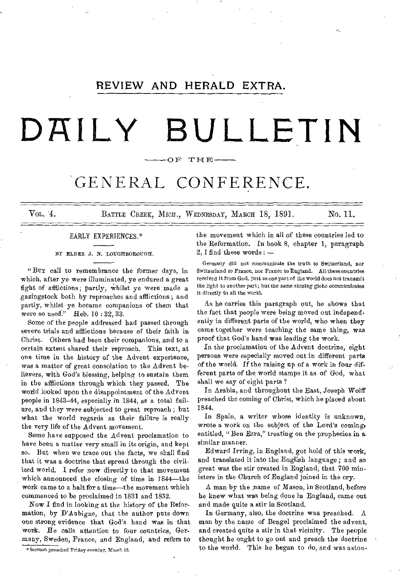# REVIEW AND HERALD EXTRA.

# **DAILY BULLETIN**

# OF THE

# GENERAL CONFERENCE.

VOL. 4. BATTLE CREEK, MICH., WEDNESDAY, MARCH 18, 1891. No. 11.

# EARLY EXPERIENCES.\*

BY ELDER J. N. LOUGHBOROUGH.

"Bur call to remembrance the former days, in which, after ye were illuminated, ye endured a great fight of afflictions; partly, whilst ye were made a gazingstock both by reproaches and afflictions; and partly, whilst ye, became companions of them that were so used." Heb. 10:32, 33.

Some of the people addressed had passed through severe trials and afflictions because of their faith in Christ. Others bad been their companions, and to a certain extent shared their reproach. This text, at one time in the history of the Advent experience, was a matter of great consolation to the Advent believers, with God's blessing, helping to sustain them in the afflictions through which they passed. The world looked upon the disappointment of the Advent people in 1843-44, especially in 1844, as a total failure, and they were subjected to great reproach ; but what the world regards as their failure is really the very life of the Advent movement.

Some have supposed the Advent proclamation to have been a matter very small in its origin, and kept so. But when we trace out the facts, we shall find that it was a doctrine that spread through the civilized world. I refer now directly to that movement which announced the closing of time in 1844—the work came to a halt for a time—the movement which commenced to be proclaimed in 1831 and 1832.

Now I find in looking at the history of the Reformation, by D'Aubigne, that the author puts down one strong evidence that God's band was in that work. He calls attention to four countries, Germany, Sweden, France, and England, and refers to the movement which in all of these countries led to the Reformation. In book 8, chapter 1, paragraph 2, I find these words : —

Germany did not communicate the truth to Switzerland, nor Switzerland to France, nor France to England. All these countries received it from God, just as one part of the world does not transmit the light to another part; but the same shining globe communicates it directly to all the world.

As he carries this paragraph out, he shows that the fact that people were being moved out independently in different parts of the world, who when they came together were teaching the same thing, was proof that God's hand was leading the work.

In the proclamation of the Advent doctrine, eight persons were especially moved out in different parts of the world. If the raising up of a work in four different parts of the, world stamps it as of God, what shall we say of eight parts ?

In Arabia, and throughout the East, Joseph Wolff preached the coming of Christ, which he placed about 1844.

In Spain, a writer whose identity is unknown, wrote a work on the subject of the Lord's coming, entitled, "Ben Ezra," treating on the prophecies in a similar manner.

Edward Irving, in England, got hold of this work, and translated it into the English language; and so great was the stir created in England, that 700 ministers in the Church of England joined in the cry.

A man by the name of Mason, in Scotland, before he knew what was being done in England, came out and made quite a stir in Scotland.

In Germany, also, the doctrine was preached. A man by the name of Bengel proclaimed the advent, and created quite a stir in that vicinity. The people thought he ought to go ont and preach the doctrine to the world. This he began to do, and was aston-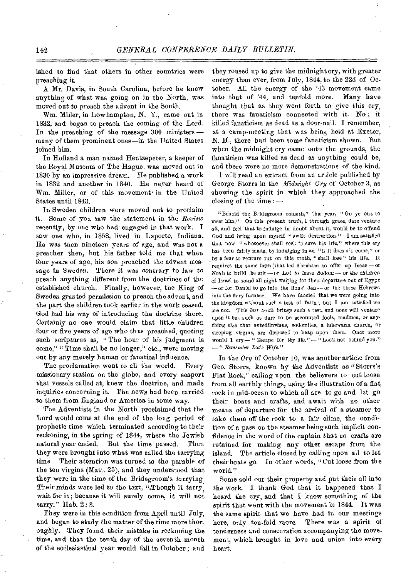ished to find that others in other countries were preaching it.

A Mr. Davis, in South Carolina, before he knew anything of what was going on in the North, was moved out to preach the advent in the South.

Wm. Miller, in Lowhampton, N. Y., came out in 1832, and began to preach the coming of the Lord. In the preaching of the message 300 ministers many of them prominent ones—in the United States joined him.

In Holland a man named Hentzepeter, a keeper of the Royal Museum of The Hague, was moved out in 1830 by an impressive dream. He published a work in 1832 and another in 1840. He never heard of Wm. Miller, or of this movement in the United States until 1843.

In Sweden children were moved out to proclaim it. Some of you saw the statement in the *Review*  recently, by one who had-engaged in that work. I saw one who, in 1858, lived in Laporte, Indiana. He was then nineteen years of age, and was not a preacher then, but his father told me that when four years of age, his son preached the advent message in Sweden. There it was contrary to law to preach anything different from the doctrines of the established church. Finally, however, the King of Sweden granted permission to preach the advent, and the part the children took earlier in the work ceased. God had his way of introducing the doctrine there. Certainly no one would claim that little children four or five years of age who thus preached, quoting such scriptures as, "The hour of his judgment is come," " Time shall be no longer," etc., were moving out by any merely human or fanatical influence.

The proclamation went to all the world. Every missionary station on the globe, and every seaport that vessels called at, knew the doctrine, and made inquiries concerning it. The news had been carried to them from England or America in some way.

The Adventists in the North proclaimed that the Lord would come at the end of the long period of prophetic time which terminated according to their reckoning, in the spring of 1844, where the Jewish natural year ended. But the time passed. Then they were brought into what was called the tarrying time. Their attention was turned to the parable *of*  the ten virgins (Matt. 25), and they understood that they were in the time of the Bridegroom's tarrying. Their minds were led to the text, "Though it tarry, wait for it ; because it will surely come, it will not tarry." Bab. 2 : 3.

They were in this condition from April until July, and began to study the matter of the time more thoroughly. They found their mistake in reckoning the time, and that the tenth day of the seventh month of the ecclesiastical year would fall in October ; and

they roused up to give the midnight cry, with greater energy than ever, from July, 1844, to the 22d of October. All the energy of the '43 movement came into that of '44, and tenfold more. Many have thought that as they went forth to give this cry, there was fanaticism connected with it. No ; it killed fanaticism as dead as a door-nail. I remember, at a camp-meeting that was being held at Exeter, N. H., there had been some fanaticism shown. But when the midnight cry came onto the grounds, the fanaticism was killed as dead as anything could be, and there were no more demonstrations of the kind.

1 will read an extract from an article published by George Storrs in the *Midnight Cry* of October 3, as showing the spirit in which they approached the closing of the time : —

"Behold the Bridegroom cometh," this year, "Go ye out to meet him." On this present truth, I through grace, dare venture *all,* and feel that to indulge in doubt about it, would be to offend God and bring upon myself "swift destruction." I am satisfied that now "whosoever shall seek to save his life," where this cry has been fairly made, by indulging in an "if it doesn't come," or by a fear to venture out on this truth, "shall lose" his life. It requires the same faith that led Abrabam to offer up Isaac-or Noah to build the ark—or Lot to leave Sodom— *or* the children of Israel to stand all night waiting for their departure out of Egypt —or for Daniel to go into the lions' den — or the three Hebrews into the fiery furnace. We have fancied that we were going into the kingdom without such a test of faith ; but I am satisfied we are not. This *last truth* brings such a test, and none will venture upon it but such as dare to be accounted fools, madmen, or *anything else* that antediluvians, sodomites, a lukewarm church, or sleeping virgins, are disposed to heap upon them. Once more would I cry— " Escape for thy life." — "Look not behind you." *—"Remember Lot's Wife."* 

In the *Cry* of October 10, was another article from Geo. Storrs, known by the Adventists as " Storrs's Flat Rock," calling upon the believers to cut loose from all earthly things, using the illustration of a flat rock in mid-ocean to which all are to go and let go their boats and crafts, and await with no other means of departure for the arrival of a steamer to take them off the rock to a fair clime, the condition of a pass on the steamer being such implicit confidence in the word of the captain that no crafts are retained for making any other escape from the island. The article closed by calling upon all to let their boats go. In other words, " Cut loose from the world."

Some sold out their property and put their all into the work. I thank God that it happened that I heard the cry, and that I know something of the spirit that went with the movement in 1844. It was the same spirit that we have had in our meetings here, only ten-fold more. There was a spirit of tenderness and consecration accompanying the movement, which brought in love and union into every heart.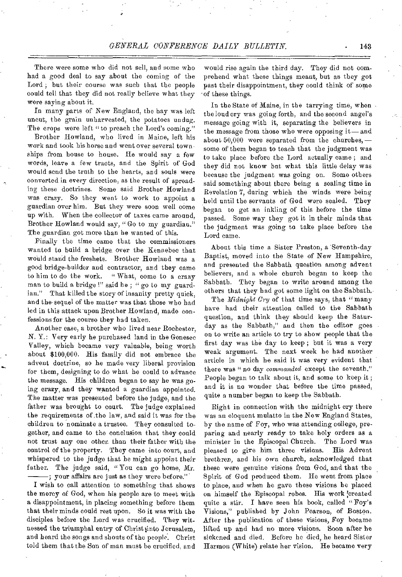There were some who did not sell, and some who had a good deal to say about the coming of the Lord ; but their course was such that the people could tell that they did not really believe what they were saying about it.

In many parts of New England, the hay was left uncut, the grain unharvested, the potatoes undug. The crops were left "to preach the Lord's coming."

Brother Howland, who lived in Maine, left his work and took his horse and went over several townships from house to house. He would say a few words, leave a few tracts, and the Spirit of God would send the truth to the hearts, and souls were converted in every direction, as the result of spreading these doctrines. Some said Brother Howland was crazy. So they went to work to appoint a guardian over him. But they were soon well come up with. When the collector of taxes came around, Brother Howland would say, " Go to my guardian." The guardian got more than he wanted of this.

Finally the time came that the commissioners wanted to build a bridge over the Kennebec that would stand the freshets. Brother Howland was a good bridge-builder and contractor, and they came to him to do the work. " What, come to a crazy man to build a bridge !" said he ; " go to my guardian." That killed the story of insanity pretty quick, and the sequel of the matter was that those who had led in this attack upon Brother Howland, made confessions for the course they had taken.

Another case, a brother who lived near Rochester, N. Y.: Very early he purchased land in the Genesee Valley, which became very valuable, being worth about \$100,000. His family did not embrace the advent doctrine, so he made very liberal provision for them, designing to do what he could to advance the message. His children began to say he was going crazy, and they wanted a guardian appointed. The matter was presented before the judge, and the father was brought to court. The judge explained the requirements of the law, and said it was for the children to nominate a trustee. They consulted together, and came to the conclusion that they could not trust any one other than their father with the control of the property. They came into court, and whispered to the judge that he might appoint their father. The judge said, "You can go home, Mr. ; your affairs are just as they were before."'

I wish to call attention to something that shows the mercy of God, when his people are to meet with a disappointment, in placing something before them that their minds could rest upon. So it was with the disciples before the Lord was crucified. They witnessed the triumphal entry of Christ linto Jerusalem, and beard the songs and shouts of the people. Christ told them that the Son of man must he crucified, and

would rise again the third day. They did not comprehend what these things meant, but as they got past their disappointment, they could think of some of these things.

In the State of Maine, in the tarrying time, when the loud cry was going forth, and the second angel's message going with it, separating the believers in the message from those who were opposing it—and about 50,000 were separated from the churches, some of them began to teach that the judgment was to take place before the Lord actually came ; and they did not know but what this little delay was because the judgment was going on. Some others said something about there being a sealing time in Revelation 7, during which the winds were being held until the servants of God were sealed. They began to get an inkling of this before the time passed. Some way they got it in their minds that the judgment was going to take place before the Lord came.

About this time a Sister Preston, a Seventh-day Baptist, moved into the State of New Hampshire, and presented the Sabbath question among advent believers, and a whole church began to keep the Sabbath. They began to write around among the others that they had got some light on the Sabbath.

The *Midnight Cry* of that time says, that "many have had their attention called to the Sabbath question, and think they should keep the Saturday as the Sabbath," and then the editor goes on to write an article to try to show people that the first day was the day to keep ; but it was a very weak argument. The next week he had another article in which he said it was very evident that there was " no day *commanded* except the seventh." People began to talk about it, and some to keep it ; and it is no wonder that before the time passed, quite a number began to keep the Sabbath.

Right in connection with the midnight cry there was an eloquent mulatto in the New England States, by the name of Foy, who was attending college, preparing and nearly ready to take holy orders as a minister in the Episcopal Church. The Lord was minister in the Episcopal Church. pleased to give him three visions. His Advent brethren, and *his* own church, acknowledged that these were genuine visions from God, and that the Spirit of God produced them. He went from place to place, and when he gave these visions he placed on himself the Episcopal robes. His work created quite a stir. I have seen his book, called "Foy's Visions," published by John Pearson, of Boston. After the publication of these visions, Foy became lifted up and had no more visions. Soon after he sickened and died. Before he died, he heard Sister Harmon (White) relate her vision. He became very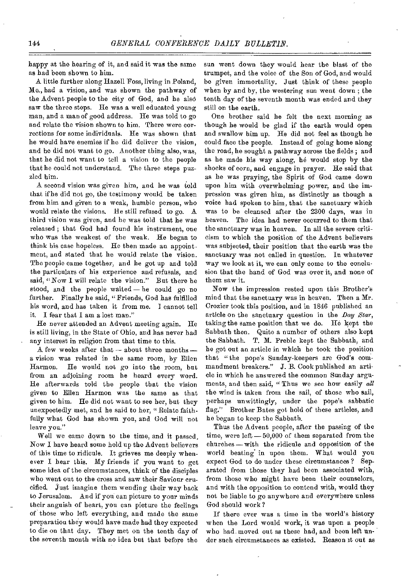happy at the hearing of it, and said it was the same as had been shown to him.

A little further along Haze11 Foss, living in Poland, Me., had a vision, and was shown the pathway of the Advent people to the city of God, and he also saw the three steps. He was a well educated young man, and a man of good address. He was told to go and relate the vision shown to him. There were corrections for some individuals. He was shown that he would have enemies if he did deliver the vision, and he did not want to go. Another thing also, was, that he did not want to tell a vision to the people that he could not understand. The three steps puzzled him.

A second vision was given him, and he was told that if he did not go, the testimony would be taken from him and given to a weak, humble person, who would relate the visions. He still refused to go. A third vision was given, and he was told that he was released ; that God had found his instrument, one who was the weakest of the weak. He began to think his case hopeless. He then made an appoint. ment, and stated that he would relate the vision. The people came together, and he got up and told the particulars of his experience and refusals, and said, "Now I will relate the vision." But there he stood, and the people waited — he could go no further. Finally he said, "Friends, God has fulfilled his word, and has taken it from me. I cannot tell it. I fear that I am a lost man."

He never attended an Advent meeting again. He is still living, in the State of Ohio, and has never had any interest in religion from that time to this.

A few weeks after that — about three months a vision was related in the same room, by Ellen Harmon. He would not go into the room, but from an adjoining room he heard every word. He afterwards told the people that the vision given to Ellen Harmon was the same as that given to him. He did not want to see her, but they unexpectedly met, and he said to her, "Relate faithfully what God has shown you, and God will not leave you."

Well we came down to the time, and it passed. Now I have heard some hold up the Advent believers of this time to ridicule. It grieves me deeply whenever I hear this. My friends if you want to get some idea of the circumstances, think of the disciples who went out to the cross and saw their Saviour crucified. Just imagine them wending their way back to Jerusalem. And if you can picture to your minds their anguish of heart, you can picture the feelings of those who left everything, and made the same preparation they would have made had they expected to die on that day. They met on the tenth day of the seventh month with no idea but that before the

sun went down they would hear the blast of the trumpet, and the voice of the Son of God, and would be given immortality. Just think of these people when by and by, the westering sun went down ; the tenth day of the seventh month was ended and they still on the earth.

One brother said he felt the next morning as though he would be glad if the earth would open and swallow him up. He did not feel as though he could face the people. Instead of going home along the road, he sought a pathway across the fields ; and as he made his way along, he would stop by the shocks of corn, and engage in prayer. He said that as he was praying, the Spirit of God came down upon him with overwhelming power, and the impression was given him, as distinctly as though a voice had spoken to him, that the sanctuary which was to be cleansed after the 2300 days, was in heaven. The idea bad never occurred to them that the sanctuary was in heaven. In all the severe criticism to which the position of the Advent believers was subjected, their position that the earth was the sanctuary was not called in question. In whatever way we look at it, we can only come to the conclusion that the hand of God was over it, and none of them saw it.

Now the impression rested upon this Brother's mind that the sanctuary was in heaven. Then a Mr. Crozier took this position, and in 1846 published an article on the sanctuary question in the *Day Star*, taking the same position that we do. He kept the Sabbath then. Quite a number of others also kept the Sabbath. T. M. Preble kept the Sabbath, and he got out an article in which he took the position that "the pope's Sunday-keepers are God's commandment breakers." J. B. Cook published an article in which he answered the common Sunday arguments, and then said, " Thus we see how easily *all*  the wind is taken from the sail, of those who sail, perhaps unwittingly, under the pope's sabbatic flag." Brother Bates got hold of these articles, and he began to keep the Sabbath.

Thus the Advent people, after the passing of the time, were left  $-50,000$  of them separated from the churches — with the ridicule and opposition of the world beating in upon them. What would you expect God to do under these circumstances ? Separated from those they had been associated with, from those who might have been their counselors, and with the opposition to contend with, would they not be liable to go anywhere and everywhere unless God should work?

If there ever was a time in the world's history when the Lord would work, it was upon a people who had moved out as these had, and been left under such circumstances as existed. Reason it out as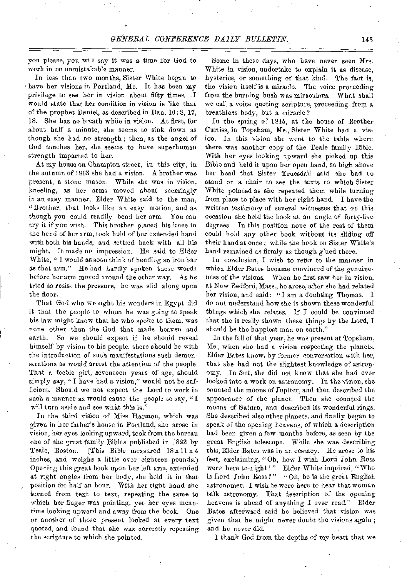you please, you will say it was a time for God to work in no unmistakable manner.

In less than two months, Sister White began to have her visions in Portland, Me. It has been my privilege to see her in vision about fifty times. I would state that her condition in vision is like that of the prophet Daniel, as described in Dan. 10: 8, 17, 18. She has no breath while in vision. At first, for about half a minute, she seems to sink down as though she had no strength ; then, as the angel of God touches her, she seems to have superhuman strength imparted to her.

At my house on Champion street, in this city, in the autumn of 1863 she had a vision. A brother was present, a stone mason. While she was in vision, kneeling, as her arms moved about seemingly in an easy manner, Elder White said to the man, "Brother, that looks like an easy motion, and as though you could readily bend her arm. You can try it if you wish. This brother placed his knee in the bend of her arm, took hold of her extended hand with both his hands, and settled back with all his might. It made no impression. He said to Elder White, "I would as soon think of bending an iron bar as that arm." He had hardly spoken these words before her arm moved around the other way. As he tried to resist the pressure, he was slid along upon the floor.

That God who wrought his wonders in Egypt did it that the people to whom be was going to speak bis law might know that he who spoke to them, was none other than the God that made heaven and earth. So we should expect if he should reveal himself by vision to his people, there should be with the introduction of such manifestations such demonstrations as would arrest the attention of the people That a feeble girl, seventeen years of age, should simply say, "I have had a vision," would not be sufficient. Should we not expect the Lord to work in such a manner as would cause the people to say, " $I$ will turn aside and see what this is."

In the third vision of Miss Harmon, which was given in her fathe'r's house in Portland, she arose in vision, her eyes looking upward, took from the bureau one of the great family Bibles published in 1822 by Teale, Boston. (This Bible measured  $18 \times 11 \times 4$ inches, and weighs a little over eighteen pounds.) Opening this great book upon her left arm, extended at right angles from her body, she held it in that position for half an hour. With her right hand she turned from text to text, repeating the same to which her finger was pointing, yet her eyes meantime looking upward and away from the book. One or another of those present looked at every text quoted, and found that she was correctly repeating the scripture to which she pointed.

Some in these days, who have never seen Mrs. White in vision, undertake to explain it as disease, hysterics, or something of that kind. The fact is, the vision itself is a miracle. The voice proceeding from the burning bush was miraculous. What shall we call a voice quoting scripture, proceeding from a breathless body, but a miracle?

In the spring of 1845, at the house of Brother Curtiss, in Topsham, Me., Sister White had a vision. In this vision she went to the table where there was another copy of the Teale family Bible. With her eyes looking upward she picked up this Bible and held it upon her open hand, so high above her head that Sister Truesdail said she had to stand on a chair to see the texts to which Sister White pointed as she repeated them while turning from place to place with her right hand. I have the written testimony of several witnesses that on this occasion she held the book at an angle of forty-five degrees In this position none of the rest of them could hold any other book without its sliding off their band at once ; while the book on Sister White's hand remained as firmly as though glued there.

In conclusion, I wish to refer to the manner in which Elder Bates became convinced of the genuineness of the visions. When he first saw her in vision, at New Bedford, Mass., he arose, after she had related her vision, and said: "I am a doubting Thomas. I do not understand how she is shown these wonderful things which she relates. If I could be convinced that she is really shown these things by the Lord, I should be the happiest man on earth."

In the fall of that year, he was present at Topsham, Me., when she had a vision respecting the planets. Elder Bates knew, by former conversation with her, that she had not the slightest knowledge of astronomy. In fact, sbe did not know that she had ever looked into a work on astronomy. In the vision, she counted the moons of Jupiter, and then described the appearance of the planet. Then she counted the moons of Saturn, and described its wonderful rings. She described also other planets, and finally began to speak of the opening heavens, of which a description had been given a few months before, as seen by the great English telescope. While she was describing this, Elder Bates was in an ecstacy. He arose to his feet, exclaiming, " Oh, how I wish Lord John Ross were here to-night!" Elder White inquired, "Who is Lord John Ross?" "Oh, he is the great English astronomer. I wish he were here to hear that woman talk astronomy. That description of the opening heavens is ahead of anything I ever read." Elder Bates afterward said he believed that vision was given that he might never doubt the visions again ; and he never did.

I thank God from the depths of my heart that we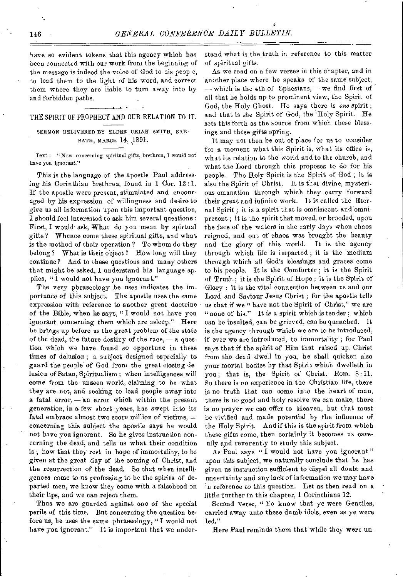have so evident tokens that this agency which has been connected with our work from the beginning of the message is indeed the voice of God to his peop e, to lead them to the light of his word, and correct them where they are liable to turn away into by and forbidden paths.

# THE SPIRIT OF PROPHECY AND OUR RELATION TO IT.

# SERMON DELIVERED BY ELDER URIAH SMITH, SAB-BATH, MARCH 14, 1891.

Text : "Now concerning spiritual gifts, brethren, I would not have you ignorant."

This is the language of the apostle Paul addressing his Corinthian brethren, found in 1 Cor. 12 :1. If the apostle were present, stimulated and encouraged by his expression of willingness and desire to give us all information upon this important question, I should feel interested to ask him several questions : First, I would ask, What do you mean by spirtual gifts? Whence come these spiritual gifts, and what is the method of their operation ? To whom do they belong? What is their object ? How long will they continue? And to these questions and many others that might be asked, I understand his language applies, "I would not have you ignorant."

The very phraseology he uses indicates the importance of this subject. The apostle uses the same expression with reference to another great doctrine of the Bible, when he says, " I would not have you ignorant concerning them which are asleep." Here he brings up before us the great problem of the state of the dead, the future destiny of the race, — a question which we have found so opportune in these times of delusion; a subject designed especially to guard the people of God from the great closing delusion of Satan, Spiritualism ; when intelligences will come from the unseen world, claiming to be what they are not, and seeking to lead people away into a fatal error,  $-$  an error which within the present generation, in a few short years, has swept into its fatal embrace almost two score million of victims, concerning this subject the apostle says he would not have you ignorant. So he gives instruction concerning the dead, and tells us what their condition is ; how that they rest in hope of immortality, to be given at the great day of the coming of Christ, and the resurrection of the dead. So that when intelligences come to us professing to be the spirits of departed men, we know they come with a falsehood on their lips, and we can reject them.

Thus we are guarded against one of the special perils of this time. But concerning the question before us, he uses the same phraseology, "I would not have you ignorant." It is important that we understand what is the truth in reference to this matter of spiritual gifts.

As we read on a few verses in this chapter, and in another place where he speaks of the same subject, — which is the 4th of Ephesians, — we find first of all that he holds up to prominent view, the Spirit of God, the Holy Ghost. He says there is *one* spirit ; and that is the Spirit of God, the 'Holy Spirit. He sets this forth as the source from which these blessings and these gifts spring.

It may not then be out of place for us to consider for a moment what this Spirit is, what its office is, what its relation to the world and to the church, and what the Lord through this proposes to do for his people. The Holy Spirit is the Spirit of God ; it is also the Spirit of Christ. It is that divine, mysterious emanation through which they carry forward their great and infinite work. It is called the Eternal Spirit ; it is a spirit that is omnisicent and omnipresent ; it is the spirit that moved, or brooded, upon the face of the waters in the early days when chaos reigned, and out of chaos was brought the beauty and the glory of this world. It is the agency through which life is imparted ; it is the medium through which all God's blessings and graces come to his people. It is the Comforter ; it is the Spirit of Truth ; it is the Spirit of Hope ; it is the Spirit of Glory ; it is the vital connection between us and our Lord and Saviour Jesus Christ ; for the apostle tells us that if we "have not the Spirit of Christ," we are " none of his." It is a spirit which is tender; which can be insulted, can be grieved, can be quenched. It is the agency through which we are to he introduced, if ever we are introduced, to immortality ; for Paul says that if the spirit of Him that raised up. Christ from the dead dwell in you, he shall quicken also your mortal bodies by that Spirit which dwelleth in you; that is, the Spirit of Christ. Rom. 8:11. So there is no experience in the Christian life, there is no truth that can come into the heart of man, there is no good and holy resolve we can make, there is no prayer we can offer to Heaven, but that must be vivified and made potential by the influence of the Holy Spirit. And if this is the spirit from which these gifts come, then certainly it becomes us careully apd reverently to study this subject.

As Paul says " I would not have you ignorant " upon this subject, we naturally conclude that he has given us instruction sufficient to dispel all doubt and uncertainty and any lack of information we may have in reference to this question. Let us then read on a little further in this chapter, 1 Corinthians 12.

Second verse, " Ye know that ye were Gentiles, carried away unto these dumb idols, even as ye were led."

Here Paul reminds them that while they were un-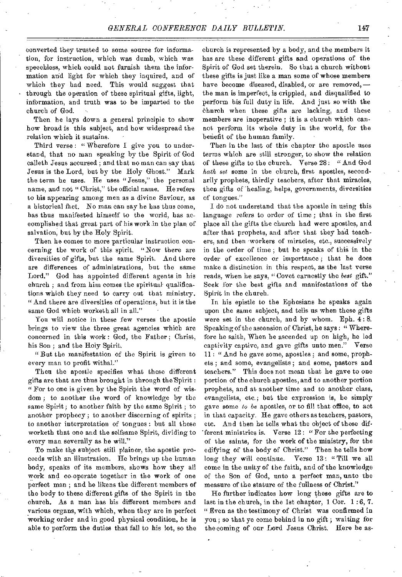converted they trusted to some source for information, for instruction, which was dumb, which was speechless, which could not furnish them the information and light for which they inquired, and of which they had need. This would suggest that through the operation of these spiritual gifts, light, information, and truth was to be imparted to the church of God.

Then he lays down a general principle to show how broad is this subject, and how widespread the relation which it sustains.

Third verse: "Wherefore I give you to understand, that no man speaking by the Spirit of God calleth Jesus accursed ; and that no man can say that Jesus is the Lord, but by the Holy Ghost." Mark the term he uses. He uses "Jesus," the personal name, and not " Christ," the official name. He refers to his appearing among men as a divine Saviour, as a historical fact. No man can say he has thus come, has thus manifested himself to the world, has accomplished that great part of his work in the plan of salvation, but by the Holy Spirit.

Then he comes to more particular instruction concerning the work of this spirit. "Now there are diversities of gifts, but the same Spirit. And there are differences of administrations, but the same Lord." God has appointed different agents in his church ; and from him comes the spiritual qualifications which they need to carry out that ministry. " And there are diversities of operations, but it is the same God which worketh all in all."

You will notice in these few verses the apostle brings to view the three great agencies which are concerned in this work : God, the Father ; Christ, his Son ; and the Holy Spirit.

" But the manifestation of the Spirit is given to every man to profit withal."

Then the apostle specifies what these different gifts are that are thus brought in through the'Spirit : " For to one is given by the Spirit the word of wisdom ; to another the word of knowledge by the same Spirit; to another faith by the same Spirit ; to another prophecy ; to another discerning of spirits ; to another interpretation of tongues : but all these worketh that one and the selfsame Spirit, dividing to every man severally as he will."

To make the subject still plainer, the apostle proceeds with an illustration. He brings up the human body, speaks of its members, shows how they all work and co-operate together in the work of one perfect man ; and he likens the different members of the body to these different gifts of the Spirit in the church. As a man has his different members and various organs, with which, when they are in perfect working order and in good physical condition, he is able to perform the duties that fall to his lot, so the

church is represented by a body, and the members it has are these different gifts and operations of the Spirit of God set therein. So that a church without these gifts is just like a man some of whose members have become diseased, disabled, or are removed, the man is imperfect, is crippled, and disqualified to perform his full duty in life. And just so with the church when these gifts are lacking, and these members are inoperative ; it is a church which cannot perform its whole duty in the world, for the benefit of the human family.

Then in the last of this chapter the apostle uses terms which are still stronger, to show the relation of these gifts to the church. Verse 28: "And God *hath set* some in the church, first apostles, secondarily prophets, thirdly teachers, after that miracles, then gifts of healing, helps, governments, diversities of tongues."

I do not understand that the apostle in using this language refers to order of time ; that in the first place all the gifts the church bad were apostles, and after that prophets, and after that they had teachers, and then workers of miracles, etc., successively in the order of time ; but he speaks of this in the order of excellence or importance ; that he does make a distinction in this respect, as the last verse reads, when he says, "Covet earnestly the *best* gift." Seek for the best gifts and manifestations of the Spirit in the church.

In his epistle to the Ephesians he speaks again upon the same subject, and tells us when these gifts were set in the church, and by whom. Eph. 4: 8. Speaking of the ascension of Christ, he says : " Wherefore he saith, When be ascended up on high, he led captivity captive, and gave gifts unto men." Verse 11 : " And he gave some, apostles ; and some, prophets ; and some, evangelists ; and some, pastors and teachers." This does not mean that he gave to one portion of the church apostles, and to another portion prophets, and at another time and to another class, evangelists, etc.; but the expression is, he simply gave some *to be* apostles, or to fill that office, to act in that capacity. He gave others as teachers, pastors, etc. And then he tells what the object of these different ministries is. Verse 12 : " For the perfecting of the saints, for the work of the ministry, for the edifying of the body of Christ." Then he tells how long they will continue. Verse 13: "Till we all come in the unity of the faith, and of the knowledge of the Son of God, unto a perfect man, unto the measure of the stature of the fullness of Christ."

He further indicates how long these gifts are to last in the church, in the 1st chapter,  $1 \text{ Cor. } 1:6, 7$ . "Even as the testimony of Christ was confirmed in you ; so that ye come behind in no gift ; waiting for the coming of our Lord Jesus Christ. Here he as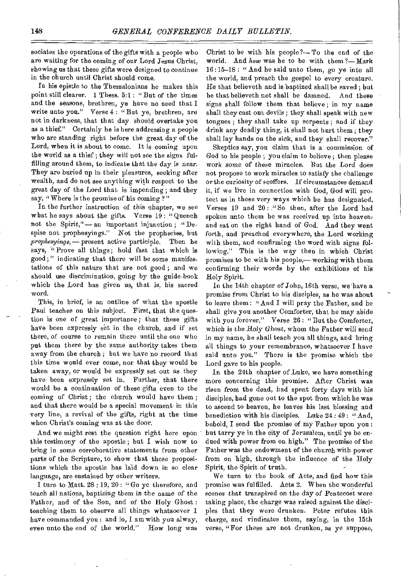sociates the operations of the gifts with a people who are waiting for the coming of our Lord Jesus Christ, showing us that these gifts were designed to continue in the church until Christ should come.

In his epistle to the Thessalonians he makes this point still clearer. 1 Thess. 5:1 : "But of the times and the seasons, brethren, ye have no need that I write unto you." Verse 4 : "But ye, brethren, are not in darkness, that that day should overtake you as a thief." Certainly he is here addressing a people who are standing right before the great day of the Lord, when it is about to come. It is coming upon the world as a thief ; they will not see the signs fulfilling around them, to indicate that the day is near. They are buried up in their pleasures, seeking after wealth, and do not see anything with respect to the great day of the Lord that is impending; and they say, "Where is the promise of his coming?"

In the further instruction of this chapter, we see what he says about the gifts. Verse 19: "Quench not the Spirit," — an important injunction ; "Despise not prophesyings." Not the prophecies, but *prophesyings,—* present active participle. Then he says, "Prove all things; hold fast that which is good;" indicating that there will be some manifestations of this nature that are not good ; and we should use discrimination, going by the guide-book which the Lord has given us, that is, his sacred word.

This, in brief, is an outline of what the apostle Paul teaches on this subject. First, that the question is one of great importance; that these gifts have been expressly set in the church, and if set there, of course to remain there until the one who put them there by the same authority takes them away from the church ; but we have no record that this time would ever come, nor that they would be taken away, or would be expressly set out as they have been expressly set in. Further, that there would be a continuation of these gifts even to the coming of Christ; the church would have them; and that there would be a special movement in this very line, a revival of the gifts, right at the time when Christ's coming was at the door.

And we might rest the question right here upon this testimony of the apostle ; but I wish now to bring in some corroborative statements from other parts of the Scripture, to show that these propositions which the apostle has laid down in so clear language, are sustained by other writers.

I turn to Matt. 28 : 19, 20 : "Go ye therefore, and teach all nations, baptizing them in the name *of* the Father, and of the Son, and of the Holy Ghost : teaching them to observe all things whatsoever I have commanded you : and lo, I am with you alway, *even* unto the end of the world." How long was Christ to be with his people ?— To the end of the world. And *how* was he to be with them ?— Mark 16 :15-18 : " And he said unto them, go ye into all the world, and preach the gospel to every creature. He that believeth and is baptized shall be saved; but he that believeth not shall be damned. And these signs shall follow them that believe ; in my name shall they cast out devils ; they shall speak with new tongues ; they shall take up serpents ; and if they drink any deadly thing, it shall not hurt them ; they shall lay bands on the sick, and they shall recover."

Skeptics say, you claim that is a commission of God to his people ; you claim to believe ; then please work some *of* these miracles. But the Lord does not propose to work miracles to satisfy the challenge or the curiosity of scoffers. If circumstances demand it, if we live in connection with God, God will protect us in these very ways which be has designated. Verses 19 and 20 : " So then, after the Lord had spoken unto them be was received up into heaven, and sat on the right band of God. And they went forth, and preached everywhere, the Lord working with them, and confirming the word with signs following." This is the way then in which Christ promises to be with his people,— working with them confirming their words by the exhibitions of his Holy Spirit.

In the 14th chapter of John, 16th verse, we have a promise from Christ to his disciples, as he was about to leave them: "And I will pray the Father, and he shall give you another Comforter, that he may abide with you forever." Verse 26 : "But the Comforter, which is the Holy Ghost, whom the Father will send in my name, be shall teach you all things, and bring all things to your remembrance, whatsoever I have said unto you." There is the promise which the Lord gave to his people.

In the 24th chapter of Luke, we have something more concerning this promise. After Christ was risen from the dead, had spent forty days with his disciples, had gone out to the spot from which he was to ascend to heaven, he leaves his last blessing and benediction with his disciples. Luke 24 : 49 : "And, behold, I send the promise of my Father upon you : but tarry ye in the city of Jerusalem, until ye be endued with power from on high." The promise of the Father was the endowment of the church with power from on high, through the influence of the Holy Spirit, the Spirit of truth.

We turn to the book of Acts, and find how this promise was fulfilled. Acts 2. When the wonderful *scenes* that transpired *on* the day of Pentecost were taking place, the charge was raised against the disciples that they were drunken. Peter refutes this charge, and vindicates them, saying, in the 15th verse, "For these are not drunken, as ye suppose,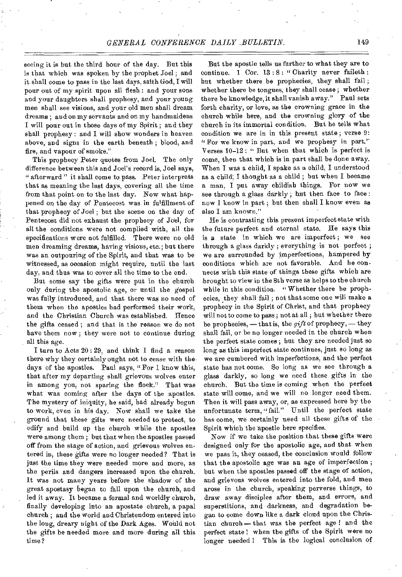# *GENERAL CONFERENCE DAILY BULLETIN.* 149

seeing it is but the third hour of the day. But this is that which was spoken by the prophet Joel ; and it shall come to pass in the last days, saith God, I will pour out of my spirit upon all flesh : and your sons and your daughters shall prophesy, and your young men shall see visions, and your old men shall dream dreams ; and on my servants and on my handmaidens I will pour out in those days of my Spirit ; and they shall prophesy : and I will show wonders in heaven above, and signs in the earth beneath ; blood, and fire, and vapour of smoke."

This prophecy Peter quotes from Joel. The only difference between this and Joel's record is, Joel says, " afterward " it shall come to pass. Peter interprets that as meaning the last days, covering all the time from that point on to the last day. Now what happened on the day of Pentecost was in fulfillment of that prophecy of Joel ; but the scene on the day of Pentecost did not exhaust the prophecy of Joel, for all the conditions were not complied with, all the specifications were not fulfilled. There were no old men dreaming dreams, having visions, etc.; but there was an outpouring of the Spirit, and that was to be witnessed, as occasion might require, until the last day, and thus was to cover all the time to the end.

But some say the gifts were put in the church only during the apostolic age, or until the gospel was fully introduced, and that there was no need of them when the apostles had performed their work, and the Christian Church was established. Hence the gifts ceased ; and that is the reason we do not have them now ; they were not to continue during all this age.

I turn to Acts 20: 29, and think I find a reason there why they certainly ought not to cease with the• days of the apostles. Paul says, " For 1 know this, that after my departing shall grievous wolves enter in among you, not sparing the flock." That was what was coming after the days of the apostles. The mystery of iniquity, he said, had already begun to work, even in his day. Now shall we take the ground that these gifts were needed to protect, to edify and build up the church while the apostles were among them ; but that when the apostles passed off from the stage of action, and grievous wolves entered in, these gifts were no longer needed? That is just the time they were needed more and more, as the perils and dangers increased upon the church. It was not many years before the shadow of the great apostasy began to fall upon the church, and led it away. It became a formal and worldly church, finally developing into an apostate church, a papal church ; and the world and Christendom entered into the long, dreary night of the Dark Ages. Would not the gifts be needed more and more during all this time?

But the apostle tells us further to what they are to continue. 1 Cor. 13:8: "Charity never faileth: but whether there be prophecies, they shall fail ; whether there be tongues, they shall cease ; whether there be knowledge, it shall vanish away." Paul sets forth charity, or love, as the crowning grace in the church while here, and the crowning glory of the church in its immortal condition. But he tells what condition we are in in this present state; verse 9: "For we know in part, and we prophesy in part." Verses 10-12 : " But when that which is perfect is come, then that which is in part shall be done away. When I was a child, I spake as a child, I understood as a child; I thought as a child ; but when I became a man, I put away childish things. For now we see through a glass darkly ; hut then face to face : now I know in part ; but then shall I know even as also I am known,"

He is contrasting this present imperfect state with the future perfect and eternal state. He says this is a state in which we are imperfect ; we see through a glass darkly ; everything is not perfect ; we are surrounded by imperfections, hampered by conditions which are not favorable. And he connects with this state of things these gifts which are brought to view in the 8th verse as helps to the church while in this condition. "Whether there be prophecies, they shall fail ; not that some one will make a prophecy in the Spirit of Christ, and that prophecy will not to come to pass ; not at all ; but whether there be prophecies, — that is, the *gift* of prophecy, — they shall fail, or be no longer needed in the church when the perfect state comes ; but they are needed just so long as this imperfect state continues, just so long as we are cumbered with imperfections, and the perfect state has not come. So long as we see through a glass darkly, so long we need these gifts in the church. But the time is coming when the perfect state will come, and we will no longer need them. Then it will pass away, or, as expressed here by the unfortunate term, "fail." Until the perfect state has come, we certainly need all these gifts of the Spirit which the apostle here specifies.

Now if we take the position that these gifts were designed only for the apostolic age, and that when we pass it, they ceased, the conclusion would follow that the apostolic age was an age of imperfection ; but when the apostles passed off the stage of action, and grievous wolves entered into the fold, and men arose in the church, speaking perverse things, to draw away disciples after them, and errors, and superstitions, and darkness, and degradation began to come down like a dark cloud upon the Christian church-that was the perfect age! and the perfect state ! when the gifts of the Spirit were no longer needed ! This is the logical conclusion of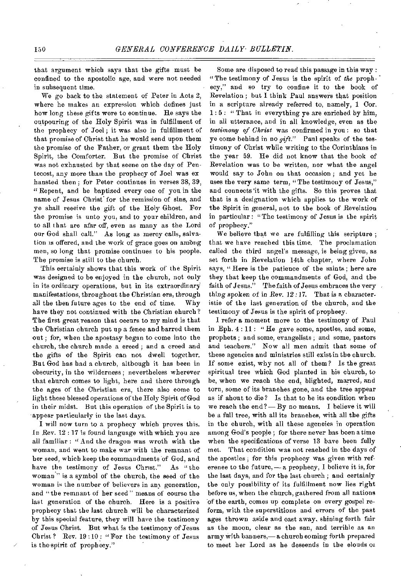that argument which says that the gifts must be confined to the apostolic age, and were not needed in subsequent time.

We go back to the statement of Peter in Acts 2, where he makes an expression which defines just how long these gifts were to continue. He says the outpouring of the Holy Spirit was in fulfillment of the prophecy of Joel ; it was also in fulfillment of that promise of Christ that he would send upon them the promise of the Father, or grant them the Holy Spirit, the Comforter. But the promise of Christ was not exhausted by that seene on the day of Pentecost, any more than the prophecy of Joel was ex hansted then; for Peter continues in verses 38, 39, "Repent, and be baptized every one of you in the name of Jesus Christ for the remission of sins, and ye shall receive the gift of the Holy Ghost. For the promise is unto you, and to your children, and to all that are afar off, even as many as the Lord our God shall call." As long as mercy calls, salvation is offered, and the work of grace goes on among men, so long that promise continues to his people. The promise is still to the church.

This certainly shows that this work of the Spirit was designed to be enjoyed in the church, not only in its ordinary operations, but in its extraordinary manifestations, throughout *the* Christian era, through all the then future ages to the end of time. Why have they not continued with the Christian ehurch? The first great reason that occurs to my mind is that the Christian church put up a fence and barred them out ; for, when the apostasy began to come into the church, the church made a creed ; and a creed and the gifts of the Spirit can not dwell together. But God has had a church, although it has been in obscurity, in the wilderness ; nevertheless wherever that church comes to light, here and there through the ages of the Christian era, there also come to light these blessed operations of the Holy Spirit of God in their midst. But this operation of the Spirit is to - appear particularly in the last days.

I will now turn to a prophecy which proves this. In Rev. 12 : 17 is found language with which you are all familiar : " And the dragon was wroth with the woman, and went to make war with the remnant of her seed, which keep the commandments of God, and have the testimony of Jesus Christ." As "the woman" is a symbol of the church, the seed of the woman is the number of believers in any generation, and "the remnant of her seed " means of course the last generation of the church. Here is a positive prophecy that the last church will be characterized by this special feature, they will have the testimony of Jesus Christ. But what is the testimony of Jesus Christ? Rev. 19:10: "For the testimony of Jesus is the spirit of prophecy."

Some are disposed to read this passage in this way : "The testimony of Jesus is the spirit of *the* proph- ecy," and so try to confine it to the book of Revelation ; but I think Paul answers that position in a scripture already referred to, namely, 1 Cor. 1 : 5 : " That in everything ye are enriched by him, in all utterance, and in all knowledge, even as the *testimony of Christ* was confirmed in you : so that ye come behind in no *gift."* Paul speaks of the testimony of Christ while writing to the Corinthians in the year 59. He did not know that the book of Revelation was to be written, nor what the angel would say to John on that occasion ; and yet be uses the very same term, "The testimony of Jesus," and connects 'it with the gifts. So this proves that that is a designation which applies to the work of the Spirit in general, not to the book of Revelation in particular: "The testimony of Jesus is the spirit of prophecy."

We believe that we are fulfilling this seripture; that we have reached this time. The proclamation called the third angel's message, is being given, as set forth in Revelation 14th chapter, where John says, "Here is the patience of the saints; here are they that keep the commandments of God, and the faith of Jesus." The faith of Jesus embraces the very *thing* spoken of in Rev. 12 :17. That is a characteristic of the last generation of the church, and the testimony of Jesus is the spirit of prophecy.

I refer a moment more to the testimony of Paul in Eph. 4: 11 : "He gave some, apostles, and some, prophets ; and some, evangelists ; and some, pastors and teachers." Now all men admit that some of these agencies and ministries still exist in the church. If some exist, why not all of them? Is the great spiritual tree which God planted in his church, to be, when we reach the end, blighted, marred, and torn, some of its branches gone, and the tree appear as if ahout to die? Is that to be its eondition when we reach the end?  $-$  By no means. I believe it will be a full tree, with all its branches, with all the gifts in the church, with all these agencies in operation among God's people ; for there never has been a time when the specifications of verse 13 have been fully met. That condition was not reached in the days of the apostles ; for this prophecy was given with reference to the future, - a prophecy, I believe it is, for the last days, and for the last church ; and certainly the only possibility of its fulfillment now lies right before us, when the church, gathered from all nations of the earth, comes up complete on every gospel reform, with the superstitions and errors of the past ages thrown aside and cast away. shining forth fair as the moon, clear as the sun, and terrible as an army with banners,— a church coming forth prepared to meet her Lord as he deseends in the elouds of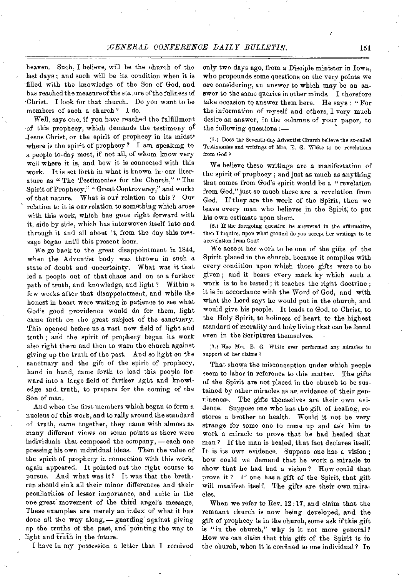heaven. Such, I believe, will be the church of the last days ; and such will be its condition when it is filled with the knowledge of the Son of God, and has reached the measure of the stature of the fullness of 'Christ. I look for that church. Do you want to be members of such a church ? I do.

Well, says one, if you have reached the fulfillment of this prophecy, which demands the testimony of Jesus Christ, or the spirit of prophecy in its midst' where is the spirit of prophecy? I am speaking to a people to-day most, if not all, of whom know very well where it is, and how it is connected with this work. It is set forth in what is known in-our literature as "The Testimonies for the Church," "The Spirit of Prophecy," " Great Controversy," and works of that nature. What is our relation to this ? Our relation to it is our relation to something which arose with this work, which has gone right forward with it, side by side, which has interwoven itself into and through it and all about it, from the day this message began until this present hour.

We go back to the great disappointment in 1844, when the Adventist body was thrown in such a state of doubt and uncertainty. What was it that led a people out of that chaos and on to a further path of truth, and knowledge, and light? Within a few weeks after that disappointment, and while the honest in heart were waiting in patience to see what God's good providence would do for them, light came forth on the great subject of the sanctuary. This opened before us a vast new field of light and truth ; and the spirit of prophecy began its work also right there and then to warn the church against giving up the truth of the past. And so light on the sanctuary and the gift of the spirit of prophecy, hand in hand, came forth to lead this people forward into a large field of further light and knowledge and, truth, to prepare for the coming of the Son of man.

And when the first members which began to form a nucleus of this work, and to rally around the standard of truth, came together, they came with almost as many different views on some points as there were individuals that composed the company, —each one pressing his own individual ideas. Then the value of the spirit of prophecy in connection with this work, again appeared. It pointed out the right course to pursue. And what was it? It was that the brethren should sink all their minor differences and their peculiarities of lesser importance, and unite in the one great movement of the third angel's message. These examples are merely an index of what it has done all the way along, - guarding against giving up the truths of the past, and pointing the way to light and truth in the future.

I have in my possession a letter that I received

only two days ago, from a Disciple minister in Iowa, who propounds some questions, on the very points we are considering, an answer to which may be an answer to the same queries in other minds. I therefore take occasion to answer them here. He says : " For the information of myself and others, I very much desire an answer, in the columns of your paper, to the following questions : —

(1.) Does the Seventh-day Adventist Church believe the so-called Testimonies and writings of Mrs. R G. White to be revelations from God ?

We believe these writings are a manifestation of the spirit of prophecy ; and just as much as anything that comes from God's spirit would be a "revelation from God," just so much these are a revelation from God. If they are the work of the Spirit, then we leave every man who believes in the Spirit; to put his own estimate upon them.

(2.) If the foregoing question be answered in the affirmative, then I inquire, upon what ground do you accept her writings to be a revelation from God?

We accept her work to be one of the gifts of the Spirit placed in the church, because it complies with every condition upon which those gifts were to be given ; and it bears every mark by which such a work is to be tested ; it teaches the right doctrine ; it is in accordance with the Word of God, and with what the Lord says he would put in the church, and would give his people. It leads to God, to Christ, to the Holy Spirit, to holiness of heart, to the highest standard of morality and holy living that can be found even in the Scriptures themselves.

(3.) Has Mrs. E. G. White ever performed any miracles in support of her claims ?

That shows the misconception under which people seem to labor in reference to this matter. The gifts of the Spirit are not placed in the church to be sustained by other miracles as an evidence of their genuineness. The gifts themselves are their own evidence. Suppose one who has the gift of healing, restores a brother to health. Would it not be very strange for some one to come up and ask him to work a miracle to prove that he had healed that man ? If the man is healed, that fact declares itself: It is its own evidence. Suppose one has a vision ; how could we demand that he work a miracle to show that he had had a vision ? How could that prove it ? If one has a gift of the Spirit, that gift will manifest itself. The gifts are their own miracles.

When we refer to Rev. 12:17, and claim that the remnant church is now being developed, and the gift of prophecy is in the church, some ask if this gift is "in the church," why is it not more general? How we can claim that this gift of the Spirit is in the church, when it is confined to one individual? In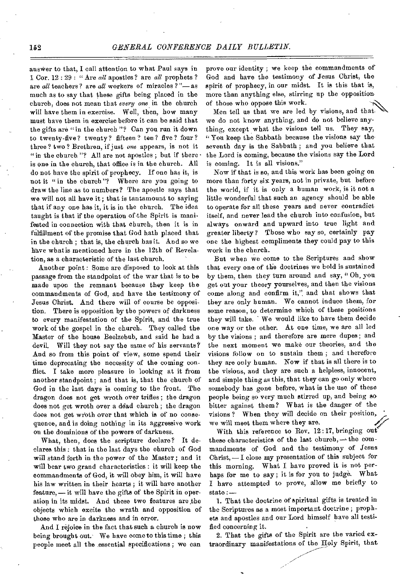answer to that, I call attention to what Paul says in 1 Cor. 12 : 29 : " Are *all* apostles? are *all* prophets ? are *all* teachers ? are *all* workers of miracles ? "— as much as to say that these gifts being placed in the church, does not mean that *every one* in the church will have them in exercise. Well, then, how many must have them in exercise before it can be said that the gifts are "in the church"? Can you run it down to twenty-five? twenty? fifteen? ten? five? four? three? two? Brethren, if just *one* appears, is not it "in the church "? All are not apostles; but if there is one in the church, that office is in the church. All do not have the spirit of prophecy. If one has it, is not it "in the church"? Where are you going to draw the line as to numbers? The apostle says that we will not all have it ; that is tantamount to saying that if any one has it, it is in the church. The idea taught is that if the operation of the Spirit is manifested in connection with that church, then it is in fulfillment of the promise that God hath placed that in the church ; that is, the church has it. And so we have what is mentioned here in the 12th of Revelation, as a characteristic of the last church.

Another point : Some are disposed to look at this passage from the standpoint of the war that is to be made upon the remnant because they keep the commandments of God, and have the testimony of Jesus Christ, And there will of course be opposition. There is opposition by the powers of darkness to every manifestation of the Spirit, and the true work of the gospel in the church. They called the Master of the house Beelzebub, and said he had a devil. Will they not say the same of his servants? And so from this point of view, some spend their time deprecating the necessity of the coming conflict. I take more pleasure in looking at it from another standpoint ; and that is, that the church of God in the last days is coming to the front. The dragon does not get wroth over trifles ; the dragon does not get wroth over a dead church; the dragon does not get wroth over that which is of no consequence, and is doing nothing in its aggressive work on the dominions of the powers of darkness.

What, then, does the scripture declare? It declares this : that in the last days the church of God will stand forth in the power of the Master ; and it will bear two grand characteristics : it will keep the commandments of God, it will obey him, it will have his law written in their hearts; it will have another feature, —it will have the gifts of the Spirit in operation in its midst. And these two features are the objects which excite the wrath and opposition of those who are in darkness and in error.

And I rejoice in the fact that such a church is now being brought out. We have come to this time ; this people meet all the essential specifications ; we can

prove our identity ; we keep the commandments of God and have the testimony of Jesus Christ, the spirit of prophecy, in our midst. It is this that is, more than anything else, stirring up the opposition of those who oppose this work.

Men tell us that we are led by visions, and that we do not know anything, and do not believe anything, except what the visions tell us. They say, " You keep the Sabbath because the visions say the seventh day is the Sabbath ; and you believe that the Lord is coming, because the visions say the Lord is coming. It is all visions?'

Now if that is so, and this work has been going on more than forty six years, not in private, but before the world, if it is only a human work, is it not a little wonderful that such an agency should be able to operate for all these years and never contradict itself, and never lead the church into confusion, but always onward and upward into true light and greater liberty? Those who say so, certainly pay one the highest compliments they could pay to this work in the church.

But when we come to the Scriptures and show that every one of the doctrines we hold is sustained by them, then they turn around and say, " Oh, you get out your theory yourselves, and then the visions come along and confirm it," and that shows that they are only human. We cannot induce them, for some reason, to determine which of these positions they will take. We would like to have them decide one way or the other. At one time, we are all led by the visions ; and therefore are mere dupes ; and the next moment we make our theories, and the visions follow on to sustain them ; and therefore they are only human. Now if that is all there is to the visions, and they are such a helpless, innocent, and simple thing as this, that they can go only where somebody has gone before, what is the use of these people being so very much stirred up, and being so bitter against them? What is the danger of the visions ? When they will decide on their position, we will meet them where they are.

With this reference to Rev. 12:17, bringing out these characteristics of the last church,  $\rightarrow$  the commandments of God and the testimony of Jesus Christ,— I close my presentation of this subject for this morning. What I have proved it is not perhaps for me to say; it is for you to judge. What I have attempted to prove, allow me briefly to  $state:$ 

1. That the doctrine of spiritual gifts is treated in the Scriptures as a most important doctrine ; prophets and apostles and our Lord himself have all testified concerning it.

2. That the gifts of the Spirit are the varied extraordinary manifestations of the Holy Spirit, that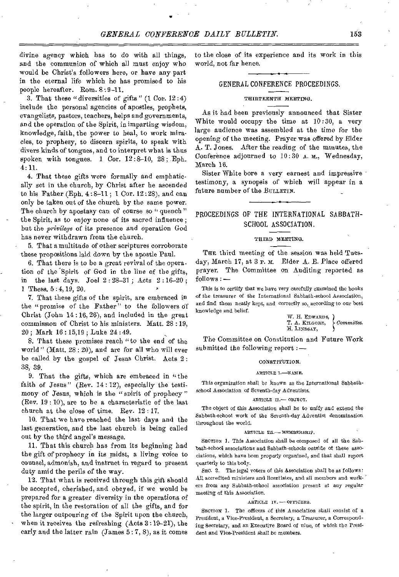divine agency which has to do with all things, and the communion of which all must enjoy who would be Christ's followers here, or have any part in the eternal life which he has promised to his people hereafter. Rom. 8 :9-11.

3. That these "diversities of gifts"  $(1 \text{ Cor. } 12:4)$ include the personal agencies of apostles, prophets, evangelists, pastors, teachers, helps and governments, and the operation of the Spirit, in imparting wisdom, knowledge, faith, the power to heal, to work miracles, to prophesy, to discern spirits, to speak with divers kinds of tongues, and to interpret what is thus spoken with tongues. 1 Cor.  $12:8-10$ ,  $28$ ; Eph. 4:11.

4. That these gifts were formally and emphatically set in the church, by Christ after he ascended to his Father (Eph.  $4:8-11$ ; 1 Cor.  $12:28$ ), and can only be taken out of the church by the same power. The church by apostasy can of course so " quench" the Spirit, as to enjoy none of its sacred influence ; but the *privilege* of its presence and operation God has never withdrawn from the church.

5. That a multitude of other scriptures corroborate these propositions laid down by the apostle Paul.

6. That there is to be a great revival of the operation of the Spirit of God in the line of the gifts, in the last days. Joel 2 : 28-31 ; Acts 2 : 16-20 ; 1 Thess. 5 : 4,19, 20.

7. That these gifts of the spirit, are embraced in the "promise of the Father" to the followers of Christ (John 14 :16, 26), and included in the great commission of Christ to his ministers. Matt. 28 : 19, 20 ; Mark 16 :15,19 ; Luke 24 : 49.

8. That these promises reach "to the end of the world" (Matt. 28 : 20), and are for all who will ever be called by the gospel of Jesus Christ. Acts 2: 38, 39.

9. That the gifts, which are embraced in "the faith of Jesus" (Rev. 14:12), especially the testimony of Jesus, which is the "spirit of prophecy" (Rev. 19 : 10), are to be a characteristic of the last church at the close of time. Rev. 12 : 17.

10. That we have reached the last days and the last generation, and the last church is being called out by the third *angel's* message.

11. That this church has from its beginning had the gift of prophecy in its midst, a living voice to counsel, admonish, and instruct in regard to present duty amid the perils *of* the way.

12. That what is received through this gift should be accepted, cherished, and obeyed, if we would be prepared for a greater diversity in the operations of the spirit, in the restoration of all the gifts, and for the larger outpouring of the Spirit upon the church, when it receives the refreshing (Acts 3 :19-21), the early and the latter rain (James 5 : 7, 8), as it comes

to the close of its experience and its work in this world, not far hence.

#### GENERAL CONFERENCE PROCEEDINGS.

#### THIRTEENTH MEETING.

As it had been previously announced that Sister White would occupy the time at  $10:30$ , a very large audience was assembled at the time for the opening of the meeting. Prayer was offered by Elder A. T. Jones. After the reading of the minutes, the Conference adjourned to 10:30 A. M., Wednesday, March 16.

Sister White bore a very earnest and impressive testimony, a synopsis of which will appear in a future number of the BULLETIN.

# PROCEEDINGS OF THE INTERNATIONAL SABBATH-SCHOOL ASSOCIATION.

#### THIRD MEETING.

THE third meeting of the session was held Tuesday, March 17, at 3 r. M. Elder A. E. Place offered prayer. The Committee on Auditing reported as follows : —

This is to certify that we have very carefully examined the books of the treasurer of the International Sabbath-school Association, and find them neatly kept, and correctly so, according to our best knowledge and belief.

W. H. EDWARDS, T. A. KILGORE, *Committee.*  H. LINDSAY,

The Committee on Constitution and Future Work submitted the following report : —

#### CONSTITUTION.

#### ARTICLE I-NAME.

This organization shall be known as the International Sabbathschool Association of Seventh-day Adventists.

#### ARTICLE II.— OBSECT.

The object of this Association shall be to unify and extend the Sabbath-school work of the Seventh-day Adventist denomination throughout the world.

#### ARTICLE III.- MEMBERSHIP.

SECTION 1. This Association shall be composed of all the Sabbath-school associations and Sabbath-schools outside of these associations, which have been properly organized, and that shall report quarterly to this body.

SEC. 2. The legal voters of this Association shall be as follows: All accredited ministers and licentiates, and all members and workers from any Sabbath-school association present at any regular meeting of this Association.

#### ARTICLE IV. — OFFICERS.

SECTION 1. The officers of this Association shall consist of a President, a Vice-President, a Secretary, a Treasurer, a Corresponding Secretary, and an Executive Board of nine, of which the President and Vice-President shall be members.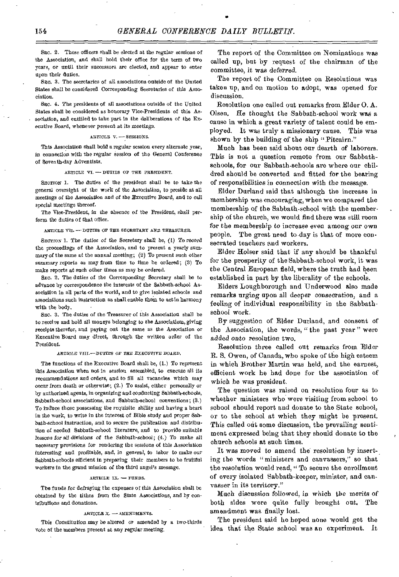SEC. 2. These officers shall be elected at the regular sessions of the Association, and shall hold their office for the term of two years, or until their successors are elected, and appear to enter upon their duties.

Ste. 3. The secretaries of all associations outside of the United States shall be considered Corresponding Secretaries of this Association.

Ste. 4. The presidents of all associations outside of the United States shall be considered as honorary Vice-Presidents of this Association, and entitled to take part in the deliberations of the Executive Board, whenever present at its *meetings.* 

#### ARTICLE V. -- SESSIONS.

This Association shall hold a regular session every alternate year, in connection with the regular session of *the* General Conference of Seventh-day Adventists.

ARTICLE VI.  $\rightarrow$  DUTIES OF THE PRESIDENT.

SECTION 1. The duties of the president shall be to take the general oversight of the work of the Association, to preside at all *meetings of* the Association and *of the* Executive *Board, and* to call special meetings thereof.

The Vice-President, in the absence of the President, shall perform the duties of that office.

ARTICLE VII. - DUTIES OF THE SECRETARY AND TREASURER.

SECTION 1. The duties of the Secretary shall be, (1) To record the proceedings of the Association, and to present a yearly summary of the same at the annual meeting; (2) To present such other summary reports as may from time to time be ordered; (3) To make reports at such other times as may be ordered.

SEC. 2. The duties of the Corresponding Secretary shall be to advance by correspondence the interests of the Sabbath-school Association in all parts of the world, and to give isolated schools and associations such instruction as shall enable them to act in harmony with the body.

SEC. 3. The duties of the Treasurer of this Association shall be to receive and hold all moneys belonging to the Association, giving receipts therefor, and paying out the same as the Association or Executive Board may direct, through the written order of the President.

#### ARTICLE VIM-DUTIES *OF THE EXECUTIVE* BOARD.

The functions of the Executive Board shall be, (I..) To represent this Association when not in session assembled, to execute all its recommendations and orders, and to fill all vacancies which may occur from death or otherwise; (2.) To assist, either personally or by authorized agents, in organizing and conducting Sabbath-schools, Sabbath-school associations, and Sabbath-school conventions; (3.) To induce those possessing the requisite ability and having a heart in the work, to write in the interest of Bible study and proper Sabbath-school instruction, and to secure the publication and distribution of needed Sabbath-school literature, and to provide suitable *lessons for all divisions of* the Sabbath-school; (4.) To make all necessary provisions for rendering the sessions of this Association interesting and profitable, and, in general, to labor to make our Sabbath-schools efficient in preparing their members to be fruitful workers in the grand mission of the third angel's message.

#### $ARTICLE IX. \longrightarrow FUNDS.$

The funds for defraying the expenses of this Association shall be obtained by the tithes from the State Associations, and by contributions and donations.

#### $ARTICLE X.$  - AMENDMENTS.

*This Constitution* may be altered *or amended by* a two-thirds vote of the members present at any regular meeting.

The report of the Committee on Nominations was called up, but by request of the chairman of the committee, it was *deferred.* 

The report of the Committee on Resolutions was taken up, and on motion to adopt, was opened for discussion.

Resolution one called out remarks from Elder 0. A. Olsen. He thought the Sabbath-school work was a cause in which a great variety of talent could be employed. It was truly a missionary cause. This was shown by the building of the ship "Pitcairn."

Much has been said about our dearth of laborers. This is not a question remote from our Sabbathschools, for our Sabbath-schools are where our childred should be converted and fitted for the bearing of responsibilities in connection with the *message.* 

Elder Durland said that although the increase in membership was encouraging, when we compared the membership of the Sabbath-school with the membership of the church, we would find there was still room for the membership to *increase* even among our own people. The great need to-day is that of more consecrated teachers and workers.

Elder Holser said that if any should be thankful for the prosperity of the Sabbath-school work, it was the Central European field, where the truth had been established in part by the liberality of the schools.

Elders Loughborough and Underwood also made remarks urging upon all deeper consecration, and a feeling of individual responsibility in the Sabbathschool work.

By suggestion of Elder Durland, and consent of the Association, the words, " the past year " were added onto resolution two.

Resolution three called out remarks from Elder R. S. Owen, of Canada, who spoke of the high esteem in which Brother Martin was held, and the earnest, efficient work he had done for the association of which he was president.

The question was raised on resolution four as to whether ministers who were visiting from school to school should report and donate to the State school, or to the school at which they might be present. This called out some discussion, the prevailing sentiment expressed being that they should donate to the church schools at such times.

It was moved to amend the resolution by inserting the words "ministers and canvassers," so that the resolution would read, " To secure the enrollment of every isolated Sabbath-keeper, minister, and canvasser in its territory."

Much discussion followed, in which the merits of both sides were quite fully brought out. The amendment was finally lost.

The president said he hoped none would get the idea that the State school was an experiment. It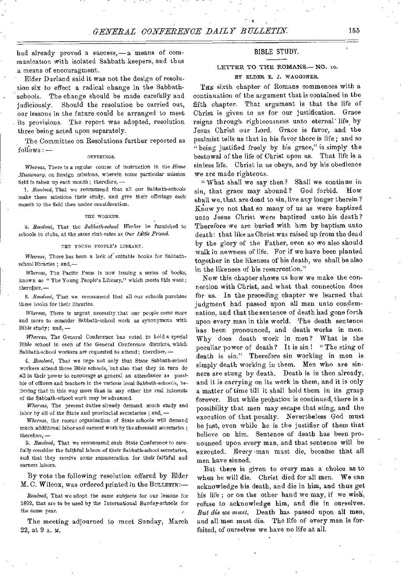had already proved a success,— a means of communication with isolated Sabbath-keepers, and thus a means of encouragment.

Elder Durland said it was not the design of resolution six to effect a radical change in the Sabbath schools. The change should be made carefully and judiciously. Should the resolution be carried out, our lessons in the future could be arranged to meet its provisions. The report was adopted, resolution three being acted upon separately.

The Committee on Resolutions further reported as follows : —

#### OFFERINGS.

*Whereas,* There is a regular course of instruction in the *Home Missionary,* on foreign missions, wherein some particular mission field is taken up each month; therefore, —

*1. Resolved,* That we recommend that all our Sabbath-schools make these missions their study, and give their offerings each month to the field then under consideration.

#### THE WORKER.

*2. Resolved,* That the *Sabbath-school Worker* be furnished to schools in clubs, at the same club-rates as *Our Little Friend.* 

#### THE YOUNG PEOPLE'S LIBRARY.

*Whereas,* There has been a lack of suitable books for Sabbathschool libraries ; and,—

*Whereas,* The Pacific Press is now issuing a series of books, known as " The Young People's Library," which meets this want; therefore,-

8. *Resolved,* That we recommend that all our schools purchase these books for their libraries.

*Whereas,* There is urgent necessity that our people come more and more to consider Sabbath-school work as synonymous with Bible study; and, *—* 

*Whereas,* The General Conference has voted to hold a special Bible school in each of the General Conference districts, which Sabbath-school workers are requested to attend; therefore, —

*4. Resolved,* That we urge not only that State Sabbath-school workers attend these Bible schools, but also that they in turn do all in their power to encourage as general an attendance as possible of officers and teachers in the various local Sabbath-schools, believing that in this way more than in any other the real interests of the Sabbath-school work may be advanced.

*Whereas,* The present duties already demand much study and labor by all of the State and provincial secretaries ; and, *—* 

*Whereas,* the recent organization of State schools will demand much additional labor and earnest work by the aforesaid secretaries ; therefore, —

*5. Resolved,* That we recommend each State Conference to carefully consider the faithful labors of their Sabbath-school secretaries, and that they receive some remuneration for their faithful and earnest labors.

By vote the following resolution offered by Elder M. C. Wilcox, was ordered printed in the BULLETIN:—

Resolved, That we adopt the same subjects for our lessons for 1892, that are to be used by the International Sunday-schools for the same year.

The meeting adjourned to meet Sunday, March 22, at 9 A. M.

# BIBLE STUDY.

# LETTER TO THE ROMANS.- NO. 10.

## BY ELDER E. J. WAGGONER.

THE sixth chapter of Romans commences with a continuation of the argument that is contained in the fifth chapter. That argument is that the life of Christ is given to us for our justification. Grace reigns through righteousness unto eternal life, by Jesus Christ our Lord. Grace is favor, and the psalmist tells us that in his favor there is life; and so "being justified freely by his grace," is simply the bestowal of the life of Christ upon us. That life is a sinless life. Christ in us obeys, and by his obedience we are made righteous.

" What shall we say then? Shall we continue in sin, that grace may abound? God forbid. How shall we, that are dead to sin, live any longer therein? Know ye not that so many of us as were baptized unto Jesus Christ were baptized unto his death? Therefore we are buried with him by baptism unto death: that like as Christ was raised up from the dead by the glory of the Father, even so we also should walk in newness of life. For if we have been planted together in the likeness of his death, we shall be also in the likeness of his resurrection."

Now this chapter shows us how we make the connection with Christ, and what that connection does for us. In the preceding chapter we learned that judgment had passed upon all men unto condemnation, and that the sentence of death had gone forth upon every man in this world. The death sentence has been pronounced, and death works in men. Why does death work in men? What is the peculiar power of death? It is sin ! " The sting of death is sin." Therefore sin working in men is simply death working in them. Men who are sinners are stung by death. Death is in then already, and it is carrying on its work in them, and it is only a matter of time till it shall hold them in its grasp forever. But while probation is continued, there is a possibility that men may escape that sting, and the execution of that penalty. Nevertheless God must be just, even while he is the justifier of them that believe on him. Sentence of death has been pronounced upon every man, and that sentence will be executed. Every man must die, because that all men have sinned.

But there is given to every man a choice as to when he will die. Christ died for all men. We can acknowledge his death, and die in him, and thus get his life ; or on the other hand we may, if we wish, refuse to acknowledge him, and die in ourselves. *But die we must.* Death has passed upon all men, and all men must die. The life of every man is forfeited, of ourselves we have no life at all.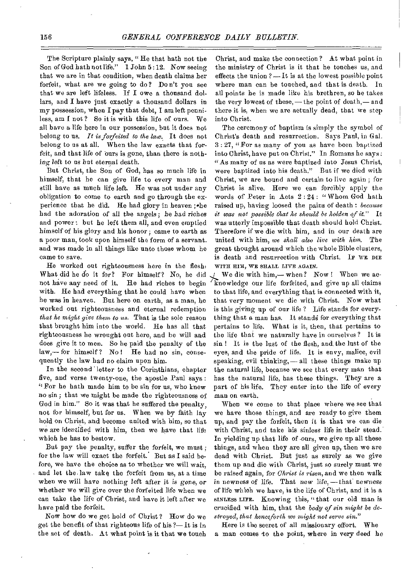The Scripture plainly says, " He that hath not the Son of God hath not life." 1 John 5 : 12. Now seeing that we are in that condition, when death claims her forfeit, what are we going to do? Do n't you see that we are left lifeless. If I owe a thousand dollars, and I have just exactly a thousand dollars in my possession, when I pay that debt, I am left penniless, am I not? So it is with this life of ours. We all have a life here in our possession, but it does not belong to us. *It is forfeited to the law.* It does not belong to us at all. When the law exacts that forfeit, and that life of ours is gone, than there is nothing *left* to us but eternal death.

But Christ, the Son of God, has so much life in himself, that he can give life to every man and still have as much life left. He was not under any obligation to come to earth and go through the experience that he did. He had glory in heaven; • he had the adoration of all the angels; be had riches and power : but he left them all, and even emptied himself of his glory and his honor ; came to earth as a poor man, took upon himself the form of a servant. and was made in all things like unto those whom he came to save.

He worked out righteousness here in the flesh, What did he do it for? For himself? No, he did not have any need of it. He had riches to begin with. He bad everything that he could have when he was in heaven. But here on earth, as a man, he worked out righteousness and eternal redemption *that he might give them to us.* That is the sole reason that brought him into the world. He has all that righteousness he wrought out here, and be will and does give it to men. So he paid the penalty of the law,— for himself ? No ! He had no sin, consequently the law had no claim upon him.

In the second letter to the Corinthians, chapter five, and verse twenty-one, the apostle Paul says : "For he hath made him to be sin for us, who knew no sin ; that we might be made the righteousness of God in him." So it was that he suffered the penalty, not for himself, but for us. When we by faith lay hold on Christ, and become united with him, so that we *are* identified with him, then we have that life which he has to bestow.

But pay the penalty, suffer the forfeit, we must ; for the law will exact the forfeit.' But as I said before, we have the choice as to whether we will wait, and let the law take the forfeit from us, at a time when we will have nothing left *after it* is *gone, or*  whether we will give over the forfeited life when we can take the life of Christ, and have it left after we have paid the forfeit.

Now how do we get hold of Christ? How do we get the benefit of that righteous life of his ?—It is in the act of death. At what point is it that we touch

Christ, and make the connection? At what point in the ministry of Christ is it that he touches us, and effects the union ?—It is at the lowest possible point where man can be touched, and that is death. In all points he is made like his brethren, so he takes the very lowest of these,— the point of death,— and there it is, when we are actually dead, that we step into Christ.

The ceremony of baptism is simply the symbol of Christ's death and resurrection. Says Paul, in Gal. 3 : 27, "For as many of you as have been baptized into Christ, have put on Christ." In Romans he says : "As many of us as were baptized into Jesus Christ, were baptized into his death." But if we died with Christ, we are bound and certain to live again ; for Christ is alive. Here we can forcibly apply the words of Peter in Acts 2 : 24 : " Whom God bath raised up, having loosed the pains of death : *because it was not possible that he should be holden of it."* It was utterly impossible that death should hold Christ. Therefore if we die with him, and in our death are united with him, *we shall also live with him.* The great thought around which the whole Bible clusters, is death and resurrection with Christ. If WE DIE WITH HIM, WE SHALL LIVE AGAIN.

We die with him,— when? Now! When we ac-ا مي `knowledge our life forfeited, and give up all claims to that life, and everything that is connected with it, that very moment we die with Christ. Now what is this giving up of our life ? Life stands for everything that a man has. It stands for everything that pertains to life. What is it, then, that pertains to the life that we naturally have in ourselves ? It is sin ! It is the lust of the flesh, and the lust of the eyes, and the pride of life. It is envy, malice, evil speaking, evil thinking,—all these things make up the natural life, because we see that every man that has the natural life, has these things. They are a part of his life. They enter into the life of every man on earth.

When we come to that place where we see that we have those things, and are ready to give them up, and pay the forfeit, then it is that we can die with Christ, and take his sinless life in their stead. In vielding up that life of ours, we give up all these things, and when they are all given up, then we are dead with Christ. But just as surely as we give them up and die with Christ, just so surely must we be raised again, for *Christ is risen,* and we then walk in *newness of life.* That new *life,—that* newness of life which we have, is the life of Christ, and it is a SINLESS LIFE. Knowing this, "that our old man is crucified with him, that the *body of sin might be destroyed, that henceforth we might not serve sin."* 

Here is the secret of all missionary effort. Whe a man comes to the point, where in very deed he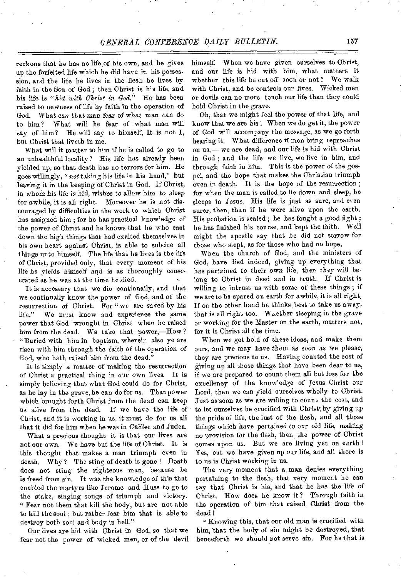reckons that he has no life of his own, and he gives up the forfeited life which he did have in his possession, and the life he lives in the flesh he lives by faith in the Son of God ; then Christ is his life, and his life is *"hid with Christ in God."* He has been raised to newness of life by faith in the operation of God. What can that man *fear* of what man can do to him? What will he fear of what man will say of him? He will say to himself, It is not I, but Christ that liveth in me.

What will it matter to him if he is called to go to an unhealthful locality? His life has already been yielded up, so that death has no terrors for him. He goes willingly, *"not* taking his life in his hand," but leaving it in the keeping of Christ in God. If Christ, in *whom* his life is hid, wishes to allow him to sleep for awhile, it is all right. Moreover he is not discouraged by difficulties in the work to which Christ has assigned him ; for he has practical knowledge of the power of Christ and he knows that he who cast down the high things that had exalted themselves in his own heart against Christ, is able to subdue all things unto himself. The life that he lives is the life of Christ, provided only, that every moment of his life he yields himself and is as thoroughly consecrated as he was at the time he died.

It is necessary that we die continually, and that we continually know the power of God, and of the resurrection of Christ. For "we are saved by his life." We must know and experience the same power that God wrought in Christ when he raised him from the dead. Ws take that power,—How? "Buried with him in baptism, wherein also ye are risen with him through the faith of the operation of God, who hath raised him from the dead."

It is simply a matter of making the resurrection of Christ a practical thing in our own lives. It is simply believing that what God could do for Christ, as he lay in the grave, he can do for us. That power which brought forth Christ from the dead can keep us alive from the dead. If we have the life of Christ, and it is working in us, it must do for us all that it did for him when he was in Galilee and Judea.

What a precious thought it is that our lives are not our own. We have but the life of Christ. It is this thought that makes a man triumph even in death. Why? The sting of death is gone ! Death does not sting the righteous man, because he is freed from sin. It was the knowledge of this that enabled the martyrs like Jerome and Huss to go to the stake, singing songs of triumph and victory. " Fear not them that kill the body, but are not able to kill the soul ; but rather fear him that is able to destroy both soul and body in hell."

Our lives are hid with Christ in God, so that we fear not the power of wicked men, or of the devil

himself. When we have given ourselves to Christ, and our life is hid with him, what matters it whether this life be cut off soon or not? We walk with Christ, and he controls our lives. Wicked men or devils can no more touch our life than they could hold Christ in the grave.

Oh, that we might feel the power of that life, and know that we are his ! When we do get it, the power of God will accompany the message, as we go forth bearing it. What difference if men bring reproaches on us, — we are dead, and our life is hid with Christ in God ; and the life we live, we live in him, and through faith in him. This is the power of the gospel, and the hope that makes the Christian triumph even in death. It is the hope of the resurrection ; for when the man is called to lie down and sleep, he sleeps in Jesus. His life is just as sure, and even surer, then, than if he were alive upon the earth. His probation is sealed; he has fought a good fight; he has finished his course, and kept the faith. Well might the apostle say that he did not sorrow for those who slept, as for those who had no hope.

When the church of God, and the ministers of God, have died indeed, giving up everything that has pertained to their own life, then they will belong to Christ in deed and in truth. If Christ is willing to intrust us with some of these things ; if we are to be spared on earth for awhile, it is all right. If on the other hand be thinks, best to take us away, that is all right too. Whether sleeping in the grave or working for the Master on the earth, matters not, for it is Christ all the time.

When we get hold of these ideas, and make them ours, and we may have them as soon as we please, they are precious to us. Having counted the cost of giving up all those things that have been dear to us, if we are prepared to count them all but loss for the excellency of the knowledge of Jesus Christ our Lord, then we can yield ourselves wholly to Christ. Just as soon as we are willing to count the cost, and to let ourselves be crucified with Christ; by giving up the pride of life, the lust of the flesh, and all those things which have pertained to our old *life,* making no provision for the flesh, then the power of Christ comes upon us. But we are living yet on earth ! Yes, but we have given up our life, and all there is to us is Christ working in us.

The very moment that a man denies everything pertaining to the flesh, that very moment he can say that Christ is his, and that he has the life of Christ. How does he know it? Through faith in the operation of him that raised Christ from the dead!

"Knowing this, that our old man is crucified with him, that the body of sin might be destroyed, that henceforth we should not serve sin. For he that is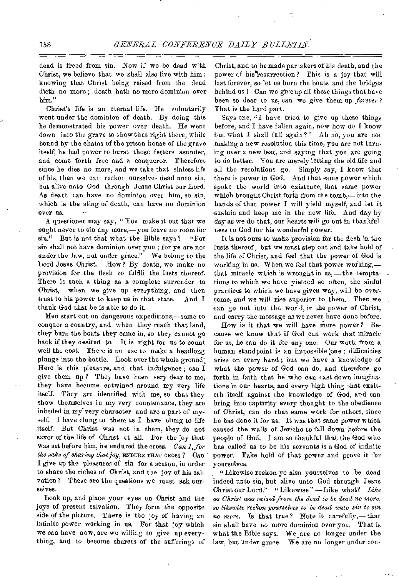dead is freed from sin. Now if we be dead with Christ, we believe that we shall also live with him : knowing that Christ being raised from the dead dieth no more ; death hath no more dominion over him."

Christ's life is an eternal life. He voluntarily went under the dominion of death. By doing this he demonstrated his power over death. He went down into the grave to show that right there, while bound by the chains of the prison house of the grave itself, he had power to burst those fetters asunder, and come forth free and a conqueror. Therefore since he dies no more, and we take that sinless life of his, then we can reckon ourselves dead unto sin, but alive unto God through Jesus Christ our Lord. As death can have no dominion over him, so sin, which is the sting of death, can have no dominion over us.

A questioner may say, " You make it out that we ought never to sin any more,— you leave no room for sin." But is not that what the Bible says? "For sin shall not have dominion over you ; for ye are not under the law, but under grace." We belong to the Lord Jesus Christ. How? By death, we make no provision for the flesh to fulfill the lusts thereof. There is such a thing as a complete surrender to Christ,— when we give up everything, and then trust to his power to keep us in that state. And I thank God that he is able to do it.

Men start out on dangerous expeditions,—some to conquer a country, and when they reach that land, they burn the boats they came in, so they cannot go back if they desired to. It is right for us to count well the cost. There is no use to make a headlong plunge into the battle. Look over the whole ground Here is this pleasure, and that indulgence; can I give them up ? They have been very dear to me, they have become entwined around my very life itself. They are identified with me, so that they show themselves in my very countenance, they are inbeded in my very character and are a part of myself. I have clung to them as I have clung to life itself. But Christ was not in them, they do not savor of the life of Christ at all. For the joy that was set before him, he endured the cross. *Can I, for the sake of sharing that joy,* ENDURE THAT CROSS ? Can - I give up the pleasures of sin for a season, in order to share the riches of Christ, and the joy of his salvation? These are the questions we must ask ourselves.

Look up, and place your eyes on Christ and the joys of present salvation. They form the opposite side of the picture. There is the joy of having an infinite power working in us. For that joy which we can have now, are we willing to give up everything, and to become sharers of the sufferings of

Christ, and to be made partakers of his death, and the power of his resurrection? This is a joy that will last forever, so let us burn the boats and the bridges behind us l Can we give up all these things that have been so dear to us, can we give them up *forever?*  That is the hard part.

Says one, "1 have tried to give up these things before, and I have fallen again, now how do I know but what I shall fall again?" Ah no, you are not making a new resolution this time, you are not turning over a new leaf, and saying that you are going to do better. You are merely letting the old life and all the resolutions go. Simply say, I know that there is power in God. And that same power which spoke the world into existence, that same power which brought Christ forth from the tomb,— into the hands of that power I will yield myself, and let it sustain and keep me in the new life, And day by day as we do that, our hearts will go out in thankfulness to God for his wonderful power.

It is not ours to make provision for the flesh in the lusts thereof; but we must step out and take hold of the life of Christ, and feel that the power of God is working in us. When we feel that power working, that miracle which is wrought in us, — the temptations to which we have yielded so often, the sinful practices to which we have given way, will be overcome, and we will rise superior to them. Then we can go out into the world, in the power of Christ, and carry the message as we never have done before.

How is it that we will have more power? Because we know that if God can work that miracle for us, he can do it for any one. Our work from a human standpoint is an impossible one; difficulties arise on every hand; but we have a knowledge of what the power of God can do, and therefore go forth in faith that he who can cast down imaginations in our hearts, and every high thing that exalteth itself against the knowledge of God, and can bring into captivity every thought to the obedience of Christ, can do that same work for others, since he has done it for us. It was that same power which caused the walls of Jericho to fall down before the people of God. I am so thankful that the God who has called us to be his, servants is a God of infinite power. Take hold of that power and prove it for yourselves.

"Likewise reckon ye also yourselves to be dead indeed unto sin, but alive unto God through Jesus Christ our Lord." " Likewise " —Like what? *Like as Christ was raised from the dead to be dead no more, so likewise reckon yourselves to be dead unto sin to sin no more.* Is that true? Note it carefully,— that sin shall have no more dominion over you. That is what the Bible says. We\_are no longer under the law, but under grace. We are no longer under con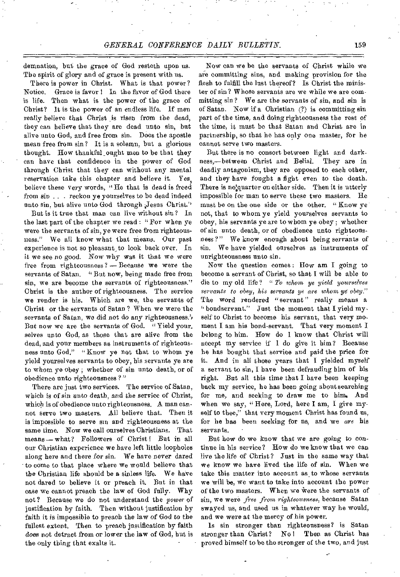demnation, but the grace of God resteth upon us. The spirit of glory and of grace is present with us.

There is power in Christ. What is that power? Notice. Grace is favor ! In the favor of God there is life. Then what is the power of the grace of Christ? It is the power of an endless life. If men really believe that Christ is *risen from* the dead, they can believe that they are dead unto sin, but alive unto God, and free from sin. Does the apostle mean free from sin? It is a solemn, but a glorious thought. How thankful \_ought men to be that they can have that confidence in the power of God through Christ that they can without any mental reservation take this chapter and believe it. Yes, believe these very words, "He that is dead is freed *from sin . . .* reckon ye yourselves to be dead indeed unto sin, but alive unto God through Jesus Christ."

But is it true that man can live without sin ? In the last part of the chapter we read : " For when ye were the servants of sin, ye were free from righteousness." We all know what that means. Our past experience is not so pleasant, to look back over. In it we see *no* good. Now why was it that we were free from righteousness? — Because we were the servants of Satan. "But now, being made free from sin, we are become the servants of righteousness." Christ is the author of righteousness. The service we render is his. Which are we, the servants of Christ or the servants of Satan ? When we were the servants of Satan, we did not do any righteousness.' But now we are the servants of God. "Yield your. selves unto God, as those that are alive from the dead, and your members as instruments of righteousness unto God." "Know ye not that to whom ye yield yourselves servants to obey, his servants ye are to whom ye obey ; whether of sin unto death, or of obedience unto righteousness ? "

There are just two services. The service of Satan, which is *of* sin unto death, and the service of Christ, which is of obedience unto righteousness. A man cannot serve two masters. All believe that. Then it is impossible to serve sin and righteousness at the same time. *Now we* call ourselves Christians. That means — what? Followers of Christ! But in all our Christian experience we have left little loopholes along here and there *for sin.* We have never dared to come to that place where we would believe that the Christian life should be a sinless life. We have not dared to believe it or preach it. But in that case we cannot preach the law of God fully. Why not? Because we do not understand the *power* of justification by faith. Then without justification by faith it is impossible to preach the law of God to the fullest extent. Then to preach justification by faith does not detract from or lower the law of God, but is the only thing that exalts it.

Now can we be the servants of Christ while we are committing sins, and making provision for the flesh to fulfill the lust thereof? Is Christ the minister of sin? Whose servants are we while we are committing sin? We are the servants of sin, and sin is of Satan. Now if a Christian (?) is committing sin part of the time, and doing righteousness the rest of the time, it must be that Satan and Christ are in partnership, so that he has only one master, for he cannot serve two masters.

But there is no consort between light and darkness,—between Christ and Belial. They are in deadly antagonism, they are opposed to each other, and they have fought a fight even to the death. There is no<sup>t</sup>quarter on either side. Then it is utterly impossible for man to serve these two masters. He must be on the one side or the other. "Know ye not, that to whom ye yield yourselves servants to obey, his servants ye are to whom ye obey ; whether of sin unto death, or of obedience unto righteousness?" We know enough about being servants of sin. We have yielded ourselves as instruments of unrighteousness unto sin.

Now the question comes : How am I going to become a servant of Christ, so that I will be able to die to my old life? " *To whom ye yield yourselves servants to obey, his servants* ye *are whom* ye *obey."*  The word rendered "servant" really means a "bondservant." Just the moment that I yield myself to Christ to become his servant, that very moment I am his bond-servant. That very moment I belong to him. How do 1 know that Christ will accept my service if I do give it him? Because he has bought that service and paid the price for it. And in all those years that I yielded myself a servant to sin, I have been defrauding him of his right. But all this time that I have been keeping back my service, be has been going about searching for me, and seeking to draw me to him, And when we say, "Here, Lord, here I am, I give myself to thee," that very moment Christ has found us, for he has been seeking for us, and we *are* his servants.

But how do we know that we are going to continue in his service? How do we know that we can live the life of Christ? Just in the same way that we know we have lived the life of sin. When we take this matter into account as to whose servants we will be, we want to take into account the power of the two masters. When we Were the servants of sin, we were *free from righteousness,* because Satan swayed us, and used us in whatever way he would, and we were at the mercy of his power.

Is sin stronger than righteousness? is Satan stronger than Christ? No ! Then as Christ has proved himself to be the stronger of the two, and just